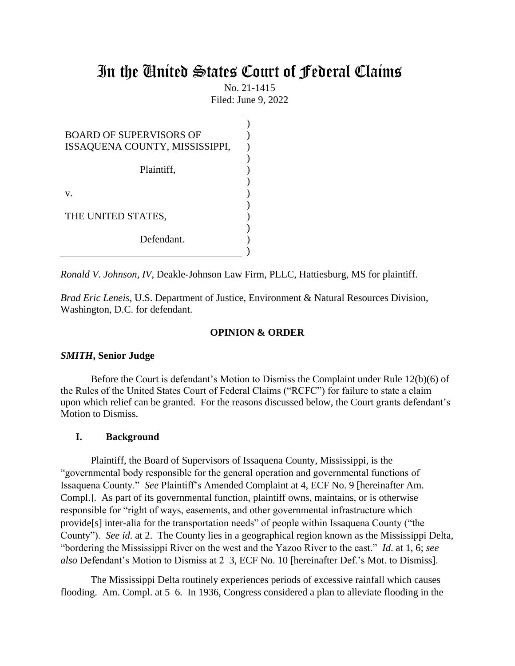# In the United States Court of Federal Claims

No. 21-1415 Filed: June 9, 2022

| <b>BOARD OF SUPERVISORS OF</b><br>ISSAQUENA COUNTY, MISSISSIPPI, |  |
|------------------------------------------------------------------|--|
| Plaintiff,                                                       |  |
| V.                                                               |  |
| THE UNITED STATES,                                               |  |
| Defendant.                                                       |  |

*Ronald V. Johnson, IV*, Deakle-Johnson Law Firm, PLLC, Hattiesburg, MS for plaintiff.

*Brad Eric Leneis*, U.S. Department of Justice, Environment & Natural Resources Division, Washington, D.C. for defendant.

## **OPINION & ORDER**

### *SMITH***, Senior Judge**

Before the Court is defendant's Motion to Dismiss the Complaint under Rule 12(b)(6) of the Rules of the United States Court of Federal Claims ("RCFC") for failure to state a claim upon which relief can be granted. For the reasons discussed below, the Court grants defendant's Motion to Dismiss.

### **I. Background**

Plaintiff, the Board of Supervisors of Issaquena County, Mississippi, is the "governmental body responsible for the general operation and governmental functions of Issaquena County." *See* Plaintiff's Amended Complaint at 4, ECF No. 9 [hereinafter Am. Compl.]. As part of its governmental function, plaintiff owns, maintains, or is otherwise responsible for "right of ways, easements, and other governmental infrastructure which provide[s] inter-alia for the transportation needs" of people within Issaquena County ("the County"). *See id*. at 2. The County lies in a geographical region known as the Mississippi Delta, "bordering the Mississippi River on the west and the Yazoo River to the east." *Id*. at 1, 6; *see also* Defendant's Motion to Dismiss at 2–3, ECF No. 10 [hereinafter Def.'s Mot. to Dismiss].

The Mississippi Delta routinely experiences periods of excessive rainfall which causes flooding. Am. Compl. at 5–6. In 1936, Congress considered a plan to alleviate flooding in the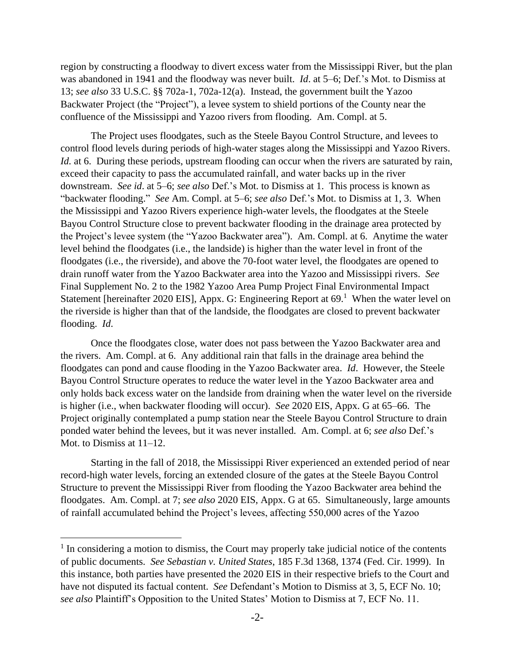region by constructing a floodway to divert excess water from the Mississippi River, but the plan was abandoned in 1941 and the floodway was never built. *Id*. at 5–6; Def.'s Mot. to Dismiss at 13; *see also* 33 U.S.C. §§ 702a-1, 702a-12(a).Instead, the government built the Yazoo Backwater Project (the "Project"), a levee system to shield portions of the County near the confluence of the Mississippi and Yazoo rivers from flooding. Am. Compl. at 5.

The Project uses floodgates, such as the Steele Bayou Control Structure, and levees to control flood levels during periods of high-water stages along the Mississippi and Yazoo Rivers. *Id.* at 6. During these periods, upstream flooding can occur when the rivers are saturated by rain, exceed their capacity to pass the accumulated rainfall, and water backs up in the river downstream. *See id*. at 5–6; *see also* Def.'s Mot. to Dismiss at 1. This process is known as "backwater flooding." *See* Am. Compl. at 5–6; *see also* Def.'s Mot. to Dismiss at 1, 3. When the Mississippi and Yazoo Rivers experience high-water levels, the floodgates at the Steele Bayou Control Structure close to prevent backwater flooding in the drainage area protected by the Project's levee system (the "Yazoo Backwater area"). Am. Compl. at 6. Anytime the water level behind the floodgates (i.e., the landside) is higher than the water level in front of the floodgates (i.e., the riverside), and above the 70-foot water level, the floodgates are opened to drain runoff water from the Yazoo Backwater area into the Yazoo and Mississippi rivers. *See* Final Supplement No. 2 to the 1982 Yazoo Area Pump Project Final Environmental Impact Statement [hereinafter 2020 EIS], Appx. G: Engineering Report at  $69<sup>1</sup>$  When the water level on the riverside is higher than that of the landside, the floodgates are closed to prevent backwater flooding. *Id*.

Once the floodgates close, water does not pass between the Yazoo Backwater area and the rivers. Am. Compl. at 6. Any additional rain that falls in the drainage area behind the floodgates can pond and cause flooding in the Yazoo Backwater area. *Id*. However, the Steele Bayou Control Structure operates to reduce the water level in the Yazoo Backwater area and only holds back excess water on the landside from draining when the water level on the riverside is higher (i.e., when backwater flooding will occur). *See* 2020 EIS, Appx. G at 65–66. The Project originally contemplated a pump station near the Steele Bayou Control Structure to drain ponded water behind the levees, but it was never installed. Am. Compl. at 6; *see also* Def.'s Mot. to Dismiss at 11–12.

Starting in the fall of 2018, the Mississippi River experienced an extended period of near record-high water levels, forcing an extended closure of the gates at the Steele Bayou Control Structure to prevent the Mississippi River from flooding the Yazoo Backwater area behind the floodgates. Am. Compl. at 7; *see also* 2020 EIS, Appx. G at 65. Simultaneously, large amounts of rainfall accumulated behind the Project's levees, affecting 550,000 acres of the Yazoo

<sup>&</sup>lt;sup>1</sup> In considering a motion to dismiss, the Court may properly take judicial notice of the contents of public documents. *See Sebastian v. United States*, 185 F.3d 1368, 1374 (Fed. Cir. 1999). In this instance, both parties have presented the 2020 EIS in their respective briefs to the Court and have not disputed its factual content. *See* Defendant's Motion to Dismiss at 3, 5, ECF No. 10; *see also* Plaintiff's Opposition to the United States' Motion to Dismiss at 7, ECF No. 11.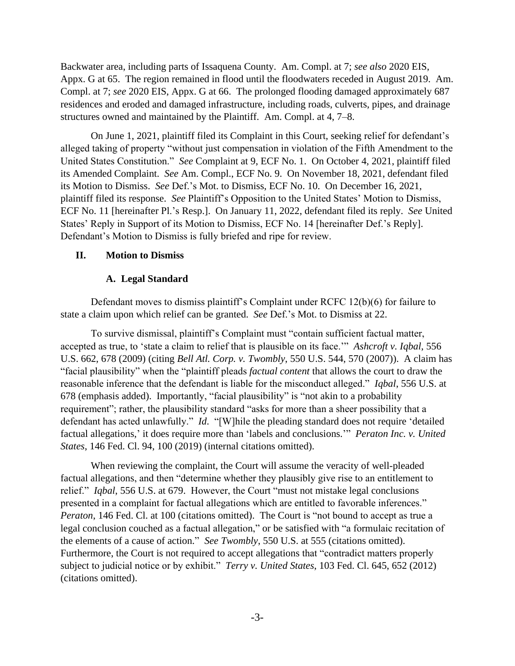Backwater area, including parts of Issaquena County. Am. Compl. at 7; *see also* 2020 EIS, Appx. G at 65. The region remained in flood until the floodwaters receded in August 2019. Am. Compl. at 7; *see* 2020 EIS, Appx. G at 66. The prolonged flooding damaged approximately 687 residences and eroded and damaged infrastructure, including roads, culverts, pipes, and drainage structures owned and maintained by the Plaintiff. Am. Compl. at 4, 7–8.

On June 1, 2021, plaintiff filed its Complaint in this Court, seeking relief for defendant's alleged taking of property "without just compensation in violation of the Fifth Amendment to the United States Constitution." *See* Complaint at 9, ECF No. 1. On October 4, 2021, plaintiff filed its Amended Complaint. *See* Am. Compl., ECF No. 9. On November 18, 2021, defendant filed its Motion to Dismiss. *See* Def.'s Mot. to Dismiss, ECF No. 10. On December 16, 2021, plaintiff filed its response. *See* Plaintiff's Opposition to the United States' Motion to Dismiss, ECF No. 11 [hereinafter Pl.'s Resp.]. On January 11, 2022, defendant filed its reply. *See* United States' Reply in Support of its Motion to Dismiss, ECF No. 14 [hereinafter Def.'s Reply]. Defendant's Motion to Dismiss is fully briefed and ripe for review.

## **II. Motion to Dismiss**

## **A. Legal Standard**

Defendant moves to dismiss plaintiff's Complaint under RCFC 12(b)(6) for failure to state a claim upon which relief can be granted. *See* Def.'s Mot. to Dismiss at 22.

To survive dismissal, plaintiff's Complaint must "contain sufficient factual matter, accepted as true, to 'state a claim to relief that is plausible on its face.'" *Ashcroft v. Iqbal*, 556 U.S. 662, 678 (2009) (citing *Bell Atl. Corp. v. Twombly*, 550 U.S. 544, 570 (2007)). A claim has "facial plausibility" when the "plaintiff pleads *factual content* that allows the court to draw the reasonable inference that the defendant is liable for the misconduct alleged." *Iqbal*, 556 U.S. at 678 (emphasis added). Importantly, "facial plausibility" is "not akin to a probability requirement"; rather, the plausibility standard "asks for more than a sheer possibility that a defendant has acted unlawfully." *Id*. "[W]hile the pleading standard does not require 'detailed factual allegations,' it does require more than 'labels and conclusions.'" *Peraton Inc. v. United States*, 146 Fed. Cl. 94, 100 (2019) (internal citations omitted).

When reviewing the complaint, the Court will assume the veracity of well-pleaded factual allegations, and then "determine whether they plausibly give rise to an entitlement to relief." *Iqbal*, 556 U.S. at 679. However, the Court "must not mistake legal conclusions presented in a complaint for factual allegations which are entitled to favorable inferences." *Peraton*, 146 Fed. Cl. at 100 (citations omitted). The Court is "not bound to accept as true a legal conclusion couched as a factual allegation," or be satisfied with "a formulaic recitation of the elements of a cause of action." *See Twombly*, 550 U.S. at 555 (citations omitted). Furthermore, the Court is not required to accept allegations that "contradict matters properly subject to judicial notice or by exhibit." *Terry v. United States*, 103 Fed. Cl. 645, 652 (2012) (citations omitted).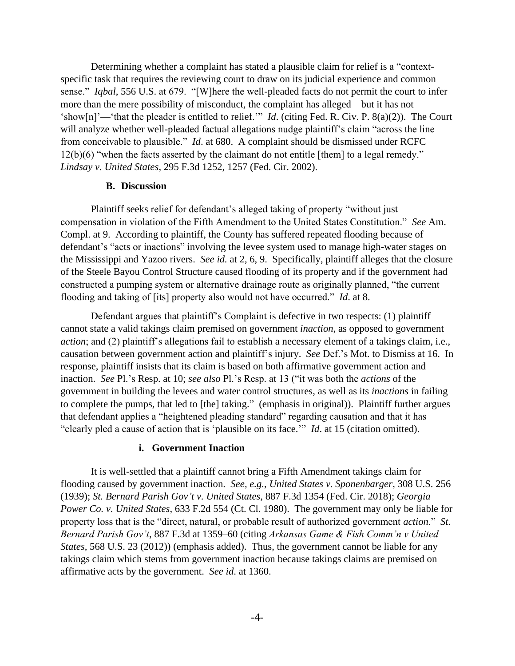Determining whether a complaint has stated a plausible claim for relief is a "contextspecific task that requires the reviewing court to draw on its judicial experience and common sense." *Iqbal*, 556 U.S. at 679. "[W]here the well-pleaded facts do not permit the court to infer more than the mere possibility of misconduct, the complaint has alleged—but it has not 'show[n]'—'that the pleader is entitled to relief.'" *Id*. (citing Fed. R. Civ. P. 8(a)(2)). The Court will analyze whether well-pleaded factual allegations nudge plaintiff's claim "across the line from conceivable to plausible." *Id*. at 680. A complaint should be dismissed under RCFC 12(b)(6) "when the facts asserted by the claimant do not entitle [them] to a legal remedy." *Lindsay v. United States*, 295 F.3d 1252, 1257 (Fed. Cir. 2002).

### **B. Discussion**

Plaintiff seeks relief for defendant's alleged taking of property "without just compensation in violation of the Fifth Amendment to the United States Constitution." *See* Am. Compl. at 9. According to plaintiff, the County has suffered repeated flooding because of defendant's "acts or inactions" involving the levee system used to manage high-water stages on the Mississippi and Yazoo rivers. *See id.* at 2, 6, 9. Specifically, plaintiff alleges that the closure of the Steele Bayou Control Structure caused flooding of its property and if the government had constructed a pumping system or alternative drainage route as originally planned, "the current flooding and taking of [its] property also would not have occurred." *Id*. at 8.

Defendant argues that plaintiff's Complaint is defective in two respects: (1) plaintiff cannot state a valid takings claim premised on government *inaction*, as opposed to government *action*; and (2) plaintiff's allegations fail to establish a necessary element of a takings claim, i.e., causation between government action and plaintiff's injury. *See* Def.'s Mot. to Dismiss at 16. In response, plaintiff insists that its claim is based on both affirmative government action and inaction. *See* Pl.'s Resp. at 10; *see also* Pl.'s Resp. at 13 ("it was both the *actions* of the government in building the levees and water control structures, as well as its *inactions* in failing to complete the pumps, that led to [the] taking." (emphasis in original)). Plaintiff further argues that defendant applies a "heightened pleading standard" regarding causation and that it has "clearly pled a cause of action that is 'plausible on its face.'" *Id*. at 15 (citation omitted).

#### **i. Government Inaction**

It is well-settled that a plaintiff cannot bring a Fifth Amendment takings claim for flooding caused by government inaction. *See, e.g.*, *United States v. Sponenbarger*, 308 U.S. 256 (1939); *St. Bernard Parish Gov't v. United States*, 887 F.3d 1354 (Fed. Cir. 2018); *Georgia Power Co. v. United States*, 633 F.2d 554 (Ct. Cl. 1980). The government may only be liable for property loss that is the "direct, natural, or probable result of authorized government *action*." *St. Bernard Parish Gov't*, 887 F.3d at 1359–60 (citing *Arkansas Game & Fish Comm'n v United States*, 568 U.S. 23 (2012)) (emphasis added). Thus, the government cannot be liable for any takings claim which stems from government inaction because takings claims are premised on affirmative acts by the government. *See id*. at 1360.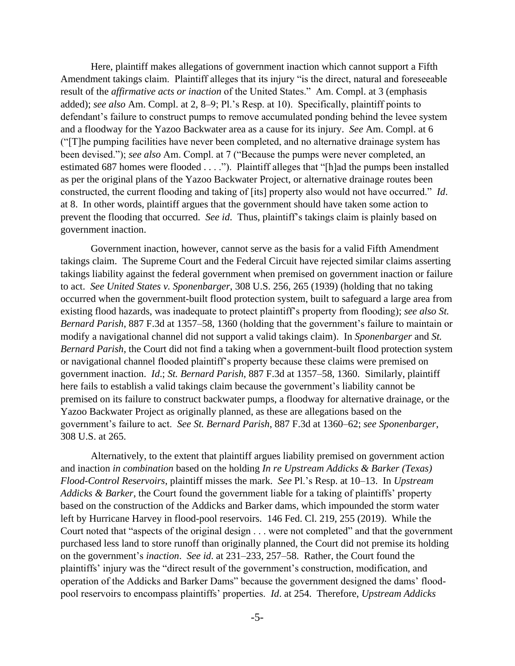Here, plaintiff makes allegations of government inaction which cannot support a Fifth Amendment takings claim. Plaintiff alleges that its injury "is the direct, natural and foreseeable result of the *affirmative acts or inaction* of the United States." Am. Compl. at 3 (emphasis added); *see also* Am. Compl. at 2, 8–9; Pl.'s Resp. at 10). Specifically, plaintiff points to defendant's failure to construct pumps to remove accumulated ponding behind the levee system and a floodway for the Yazoo Backwater area as a cause for its injury. *See* Am. Compl. at 6 ("[T]he pumping facilities have never been completed, and no alternative drainage system has been devised."); *see also* Am. Compl. at 7 ("Because the pumps were never completed, an estimated 687 homes were flooded . . . ."). Plaintiff alleges that "[h]ad the pumps been installed as per the original plans of the Yazoo Backwater Project, or alternative drainage routes been constructed, the current flooding and taking of [its] property also would not have occurred." *Id*. at 8. In other words, plaintiff argues that the government should have taken some action to prevent the flooding that occurred. *See id*. Thus, plaintiff's takings claim is plainly based on government inaction.

Government inaction, however, cannot serve as the basis for a valid Fifth Amendment takings claim. The Supreme Court and the Federal Circuit have rejected similar claims asserting takings liability against the federal government when premised on government inaction or failure to act. *See United States v. Sponenbarger*, 308 U.S. 256, 265 (1939) (holding that no taking occurred when the government-built flood protection system, built to safeguard a large area from existing flood hazards, was inadequate to protect plaintiff's property from flooding); *see also St. Bernard Parish*, 887 F.3d at 1357–58, 1360 (holding that the government's failure to maintain or modify a navigational channel did not support a valid takings claim). In *Sponenbarger* and *St. Bernard Parish*, the Court did not find a taking when a government-built flood protection system or navigational channel flooded plaintiff's property because these claims were premised on government inaction. *Id*.; *St. Bernard Parish*, 887 F.3d at 1357–58, 1360. Similarly, plaintiff here fails to establish a valid takings claim because the government's liability cannot be premised on its failure to construct backwater pumps, a floodway for alternative drainage, or the Yazoo Backwater Project as originally planned, as these are allegations based on the government's failure to act. *See St. Bernard Parish*, 887 F.3d at 1360–62; *see Sponenbarger*, 308 U.S. at 265.

Alternatively, to the extent that plaintiff argues liability premised on government action and inaction *in combination* based on the holding *In re Upstream Addicks & Barker (Texas) Flood-Control Reservoirs*, plaintiff misses the mark. *See* Pl.'s Resp. at 10–13. In *Upstream Addicks & Barker*, the Court found the government liable for a taking of plaintiffs' property based on the construction of the Addicks and Barker dams, which impounded the storm water left by Hurricane Harvey in flood-pool reservoirs. 146 Fed. Cl. 219, 255 (2019). While the Court noted that "aspects of the original design . . . were not completed" and that the government purchased less land to store runoff than originally planned, the Court did not premise its holding on the government's *inaction*. *See id*. at 231–233, 257–58. Rather, the Court found the plaintiffs' injury was the "direct result of the government's construction, modification, and operation of the Addicks and Barker Dams" because the government designed the dams' floodpool reservoirs to encompass plaintiffs' properties. *Id*. at 254. Therefore, *Upstream Addicks*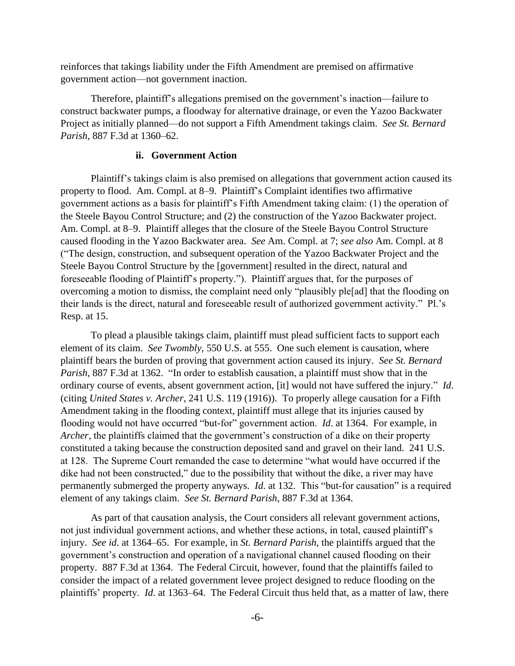reinforces that takings liability under the Fifth Amendment are premised on affirmative government action—not government inaction.

Therefore, plaintiff's allegations premised on the government's inaction—failure to construct backwater pumps, a floodway for alternative drainage, or even the Yazoo Backwater Project as initially planned—do not support a Fifth Amendment takings claim. *See St. Bernard Parish*, 887 F.3d at 1360–62.

## **ii. Government Action**

Plaintiff's takings claim is also premised on allegations that government action caused its property to flood. Am. Compl. at 8–9. Plaintiff's Complaint identifies two affirmative government actions as a basis for plaintiff's Fifth Amendment taking claim: (1) the operation of the Steele Bayou Control Structure; and (2) the construction of the Yazoo Backwater project. Am. Compl. at 8–9. Plaintiff alleges that the closure of the Steele Bayou Control Structure caused flooding in the Yazoo Backwater area. *See* Am. Compl. at 7; *see also* Am. Compl. at 8 ("The design, construction, and subsequent operation of the Yazoo Backwater Project and the Steele Bayou Control Structure by the [government] resulted in the direct, natural and foreseeable flooding of Plaintiff's property."). Plaintiff argues that, for the purposes of overcoming a motion to dismiss, the complaint need only "plausibly ple[ad] that the flooding on their lands is the direct, natural and foreseeable result of authorized government activity." Pl.'s Resp. at 15.

To plead a plausible takings claim, plaintiff must plead sufficient facts to support each element of its claim. *See Twombly*, 550 U.S. at 555. One such element is causation, where plaintiff bears the burden of proving that government action caused its injury. *See St. Bernard Parish*, 887 F.3d at 1362. "In order to establish causation, a plaintiff must show that in the ordinary course of events, absent government action, [it] would not have suffered the injury." *Id*. (citing *United States v. Archer*, 241 U.S. 119 (1916)). To properly allege causation for a Fifth Amendment taking in the flooding context, plaintiff must allege that its injuries caused by flooding would not have occurred "but-for" government action. *Id*. at 1364. For example, in *Archer*, the plaintiffs claimed that the government's construction of a dike on their property constituted a taking because the construction deposited sand and gravel on their land. 241 U.S. at 128. The Supreme Court remanded the case to determine "what would have occurred if the dike had not been constructed," due to the possibility that without the dike, a river may have permanently submerged the property anyways. *Id*. at 132. This "but-for causation" is a required element of any takings claim. *See St. Bernard Parish*, 887 F.3d at 1364.

As part of that causation analysis, the Court considers all relevant government actions, not just individual government actions, and whether these actions, in total, caused plaintiff's injury. *See id*. at 1364–65. For example, in *St. Bernard Parish*, the plaintiffs argued that the government's construction and operation of a navigational channel caused flooding on their property. 887 F.3d at 1364. The Federal Circuit, however, found that the plaintiffs failed to consider the impact of a related government levee project designed to reduce flooding on the plaintiffs' property. *Id.* at 1363–64. The Federal Circuit thus held that, as a matter of law, there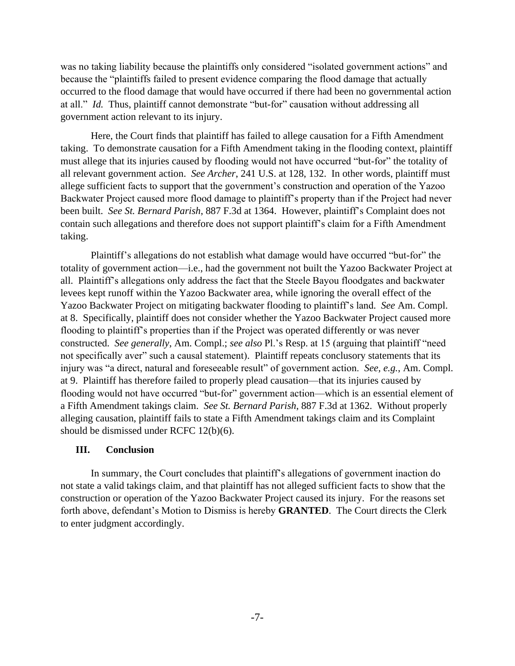was no taking liability because the plaintiffs only considered "isolated government actions" and because the "plaintiffs failed to present evidence comparing the flood damage that actually occurred to the flood damage that would have occurred if there had been no governmental action at all." *Id.* Thus, plaintiff cannot demonstrate "but-for" causation without addressing all government action relevant to its injury.

Here, the Court finds that plaintiff has failed to allege causation for a Fifth Amendment taking. To demonstrate causation for a Fifth Amendment taking in the flooding context, plaintiff must allege that its injuries caused by flooding would not have occurred "but-for" the totality of all relevant government action. *See Archer*, 241 U.S. at 128, 132. In other words, plaintiff must allege sufficient facts to support that the government's construction and operation of the Yazoo Backwater Project caused more flood damage to plaintiff's property than if the Project had never been built. *See St. Bernard Parish*, 887 F.3d at 1364. However, plaintiff's Complaint does not contain such allegations and therefore does not support plaintiff's claim for a Fifth Amendment taking.

Plaintiff's allegations do not establish what damage would have occurred "but-for" the totality of government action—i.e., had the government not built the Yazoo Backwater Project at all. Plaintiff's allegations only address the fact that the Steele Bayou floodgates and backwater levees kept runoff within the Yazoo Backwater area, while ignoring the overall effect of the Yazoo Backwater Project on mitigating backwater flooding to plaintiff's land. *See* Am. Compl. at 8. Specifically, plaintiff does not consider whether the Yazoo Backwater Project caused more flooding to plaintiff's properties than if the Project was operated differently or was never constructed. *See generally*, Am. Compl.; *see also* Pl.'s Resp. at 15 (arguing that plaintiff "need not specifically aver" such a causal statement). Plaintiff repeats conclusory statements that its injury was "a direct, natural and foreseeable result" of government action. *See, e.g.*, Am. Compl. at 9. Plaintiff has therefore failed to properly plead causation—that its injuries caused by flooding would not have occurred "but-for" government action—which is an essential element of a Fifth Amendment takings claim. *See St. Bernard Parish*, 887 F.3d at 1362. Without properly alleging causation, plaintiff fails to state a Fifth Amendment takings claim and its Complaint should be dismissed under RCFC 12(b)(6).

# **III. Conclusion**

In summary, the Court concludes that plaintiff's allegations of government inaction do not state a valid takings claim, and that plaintiff has not alleged sufficient facts to show that the construction or operation of the Yazoo Backwater Project caused its injury. For the reasons set forth above, defendant's Motion to Dismiss is hereby **GRANTED**. The Court directs the Clerk to enter judgment accordingly.